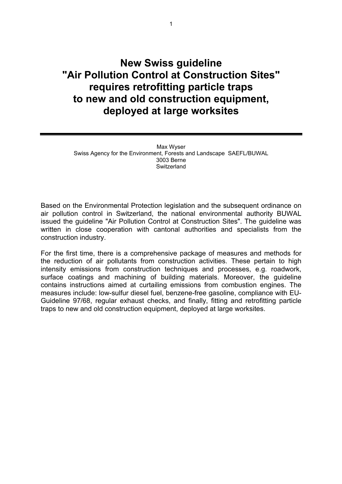# **New Swiss guideline "Air Pollution Control at Construction Sites" requires retrofitting particle traps to new and old construction equipment, deployed at large worksites**

Max Wyser Swiss Agency for the Environment, Forests and Landscape SAEFL/BUWAL 3003 Berne Switzerland

Based on the Environmental Protection legislation and the subsequent ordinance on air pollution control in Switzerland, the national environmental authority BUWAL issued the guideline "Air Pollution Control at Construction Sites". The guideline was written in close cooperation with cantonal authorities and specialists from the construction industry.

For the first time, there is a comprehensive package of measures and methods for the reduction of air pollutants from construction activities. These pertain to high intensity emissions from construction techniques and processes, e.g. roadwork, surface coatings and machining of building materials. Moreover, the guideline contains instructions aimed at curtailing emissions from combustion engines. The measures include: low-sulfur diesel fuel, benzene-free gasoline, compliance with EU-Guideline 97/68, regular exhaust checks, and finally, fitting and retrofitting particle traps to new and old construction equipment, deployed at large worksites.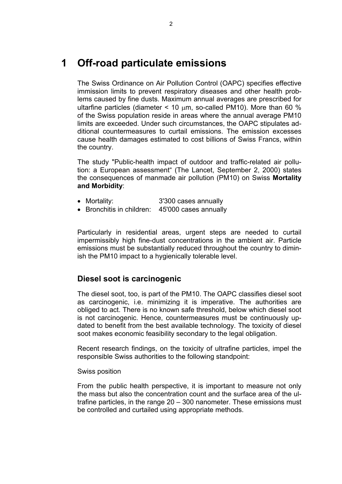## **1 Off-road particulate emissions**

The Swiss Ordinance on Air Pollution Control (OAPC) specifies effective immission limits to prevent respiratory diseases and other health problems caused by fine dusts. Maximum annual averages are prescribed for ultarfine particles (diameter  $\leq$  10  $\mu$ m, so-called PM10). More than 60 % of the Swiss population reside in areas where the annual average PM10 limits are exceeded. Under such circumstances, the OAPC stipulates additional countermeasures to curtail emissions. The emission excesses cause health damages estimated to cost billions of Swiss Francs, within the country.

The study "Public-health impact of outdoor and traffic-related air pollution: a European assessment" (The Lancet, September 2, 2000) states the consequences of manmade air pollution (PM10) on Swiss **Mortality and Morbidity**:

- Mortality: 3'300 cases annually
- Bronchitis in children: 45'000 cases annually

Particularly in residential areas, urgent steps are needed to curtail impermissibly high fine-dust concentrations in the ambient air. Particle emissions must be substantially reduced throughout the country to diminish the PM10 impact to a hygienically tolerable level.

### **Diesel soot is carcinogenic**

The diesel soot, too, is part of the PM10. The OAPC classifies diesel soot as carcinogenic, i.e. minimizing it is imperative. The authorities are obliged to act. There is no known safe threshold, below which diesel soot is not carcinogenic. Hence, countermeasures must be continuously updated to benefit from the best available technology. The toxicity of diesel soot makes economic feasibility secondary to the legal obligation.

Recent research findings, on the toxicity of ultrafine particles, impel the responsible Swiss authorities to the following standpoint:

#### Swiss position

From the public health perspective, it is important to measure not only the mass but also the concentration count and the surface area of the ultrafine particles, in the range 20 – 300 nanometer. These emissions must be controlled and curtailed using appropriate methods.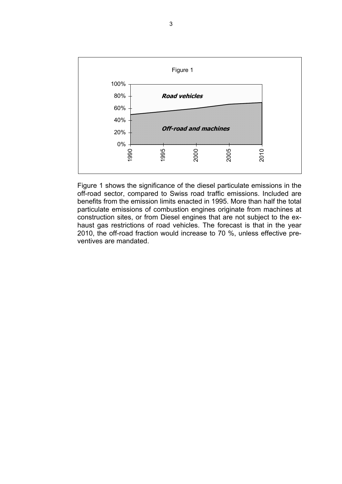

Figure 1 shows the significance of the diesel particulate emissions in the off-road sector, compared to Swiss road traffic emissions. Included are benefits from the emission limits enacted in 1995. More than half the total particulate emissions of combustion engines originate from machines at construction sites, or from Diesel engines that are not subject to the exhaust gas restrictions of road vehicles. The forecast is that in the year 2010, the off-road fraction would increase to 70 %, unless effective preventives are mandated.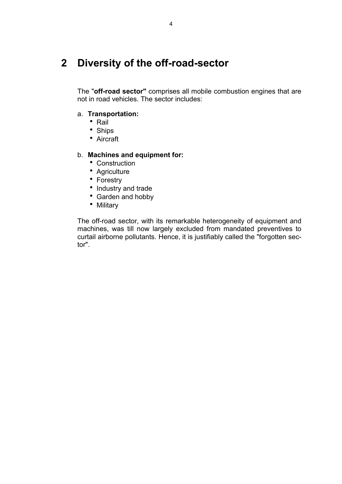# **2 Diversity of the off-road-sector**

The "**off-road sector"** comprises all mobile combustion engines that are not in road vehicles. The sector includes:

### a. **Transportation:**

- Rail
- Ships
- Aircraft

### b. **Machines and equipment for:**

- Construction
- Agriculture
- Forestry
- Industry and trade
- Garden and hobby
- Military

The off-road sector, with its remarkable heterogeneity of equipment and machines, was till now largely excluded from mandated preventives to curtail airborne pollutants. Hence, it is justifiably called the "forgotten sector".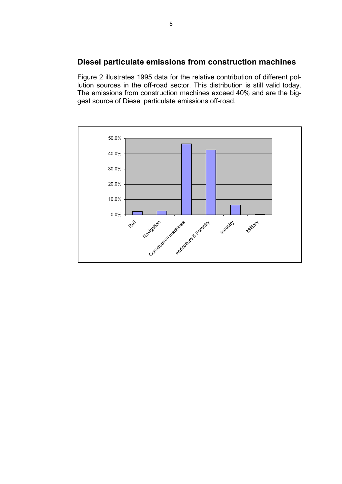## **Diesel particulate emissions from construction machines**

Figure 2 illustrates 1995 data for the relative contribution of different pollution sources in the off-road sector. This distribution is still valid today. The emissions from construction machines exceed 40% and are the biggest source of Diesel particulate emissions off-road.

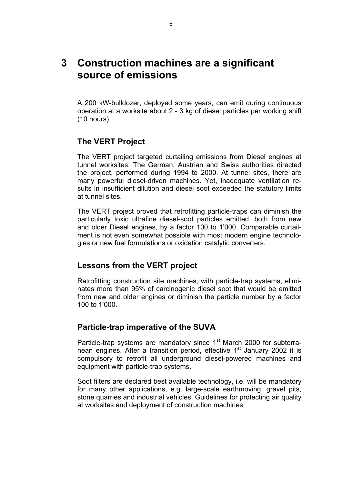## **3 Construction machines are a significant source of emissions**

A 200 kW-bulldozer, deployed some years, can emit during continuous operation at a worksite about 2 - 3 kg of diesel particles per working shift (10 hours).

## **The VERT Project**

The VERT project targeted curtailing emissions from Diesel engines at tunnel worksites. The German, Austrian and Swiss authorities directed the project, performed during 1994 to 2000. At tunnel sites, there are many powerful diesel-driven machines. Yet, inadequate ventilation results in insufficient dilution and diesel soot exceeded the statutory limits at tunnel sites.

The VERT project proved that retrofitting particle-traps can diminish the particularly toxic ultrafine diesel-soot particles emitted, both from new and older Diesel engines, by a factor 100 to 1'000. Comparable curtailment is not even somewhat possible with most modern engine technologies or new fuel formulations or oxidation catalytic converters.

### **Lessons from the VERT project**

Retrofitting construction site machines, with particle-trap systems, eliminates more than 95% of carcinogenic diesel soot that would be emitted from new and older engines or diminish the particle number by a factor 100 to 1'000.

### **Particle-trap imperative of the SUVA**

Particle-trap systems are mandatory since  $1<sup>st</sup>$  March 2000 for subterranean engines. After a transition period, effective  $1<sup>st</sup>$  January 2002 it is compulsory to retrofit all underground diesel-powered machines and equipment with particle-trap systems.

Soot filters are declared best available technology, i.e. will be mandatory for many other applications, e.g. large-scale earthmoving, gravel pits, stone quarries and industrial vehicles. Guidelines for protecting air quality at worksites and deployment of construction machines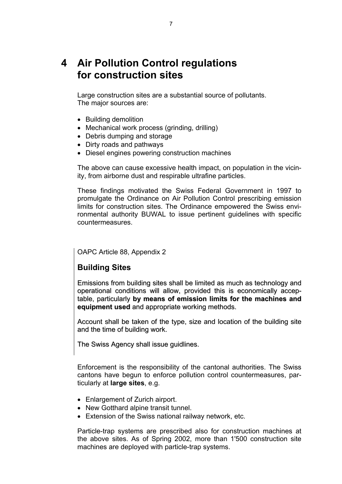## **4 Air Pollution Control regulations for construction sites**

Large construction sites are a substantial source of pollutants. The major sources are:

- Building demolition
- Mechanical work process (grinding, drilling)
- Debris dumping and storage
- Dirty roads and pathways
- Diesel engines powering construction machines

The above can cause excessive health impact, on population in the vicinity, from airborne dust and respirable ultrafine particles.

These findings motivated the Swiss Federal Government in 1997 to promulgate the Ordinance on Air Pollution Control prescribing emission limits for construction sites. The Ordinance empowered the Swiss environmental authority BUWAL to issue pertinent guidelines with specific countermeasures.

### OAPC Article 88, Appendix 2

## **Building Sites**

Emissions from building sites shall be limited as much as technology and operational conditions will allow, provided this is economically acceptable, particularly **by means of emission limits for the machines and equipment used** and appropriate working methods.

Account shall be taken of the type, size and location of the building site and the time of building work.

The Swiss Agency shall issue guidlines.

Enforcement is the responsibility of the cantonal authorities. The Swiss cantons have begun to enforce pollution control countermeasures, particularly at **large sites**, e.g.

- Enlargement of Zurich airport.
- New Gotthard alpine transit tunnel.
- Extension of the Swiss national railway network, etc.

Particle-trap systems are prescribed also for construction machines at the above sites. As of Spring 2002, more than 1'500 construction site machines are deployed with particle-trap systems.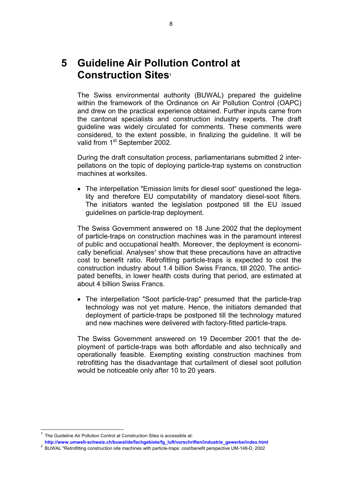## **5 Guideline Air Pollution Control at Construction Sites[1](#page-7-0)**

The Swiss environmental authority (BUWAL) prepared the guideline within the framework of the Ordinance on Air Pollution Control (OAPC) and drew on the practical experience obtained. Further inputs came from the cantonal specialists and construction industry experts. The draft guideline was widely circulated for comments. These comments were considered, to the extent possible, in finalizing the guideline. It will be valid from  $1<sup>st</sup>$  September 2002.

During the draft consultation process, parliamentarians submitted 2 interpellations on the topic of deploying particle-trap systems on construction machines at worksites.

• The interpellation "Emission limits for diesel soot" questioned the legality and therefore EU computability of mandatory diesel-soot filters. The initiators wanted the legislation postponed till the EU issued guidelines on particle-trap deployment.

The Swiss Government answered on 18 June 2002 that the deployment of particle-traps on construction machines was in the paramount interest of public and occupational health. Moreover, the deployment is economi-cally beneficial. Analyses<sup>[2](#page-7-1)</sup> show that these precautions have an attractive cost to benefit ratio. Retrofitting particle-traps is expected to cost the construction industry about 1.4 billion Swiss Francs, till 2020. The anticipated benefits, in lower health costs during that period, are estimated at about 4 billion Swiss Francs.

• The interpellation "Soot particle-trap" presumed that the particle-trap technology was not yet mature. Hence, the initiators demanded that deployment of particle-traps be postponed till the technology matured and new machines were delivered with factory-fitted particle-traps.

The Swiss Government answered on 19 December 2001 that the deployment of particle-traps was both affordable and also technically and operationally feasible. Exempting existing construction machines from retrofitting has the disadvantage that curtailment of diesel soot pollution would be noticeable only after 10 to 20 years.

l

<span id="page-7-0"></span><sup>1</sup> The Guideline Air Pollution Control at Construction Sites is accessible at:

**[http://www.umwelt-schweiz.ch/buwal/de/fachgebiete/fg\\_luft/vorschriften/industrie\\_gewerbe/index.html](http://www.umwelt-schweiz.ch/buwal/de/fachgebiete/fg_luft/vorschriften/industrie_gewerbe/index.html)**

<span id="page-7-1"></span><sup>&</sup>lt;sup>2</sup> BUWAL "Retrofitting construction site machines with particle-traps: cost/benefit perspective UM-148-D, 2002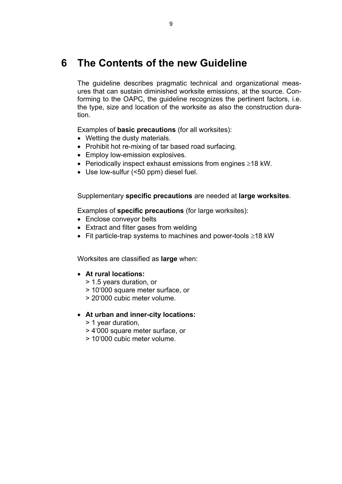# **6 The Contents of the new Guideline**

The guideline describes pragmatic technical and organizational measures that can sustain diminished worksite emissions, at the source. Conforming to the OAPC, the guideline recognizes the pertinent factors, i.e. the type, size and location of the worksite as also the construction duration.

Examples of **basic precautions** (for all worksites):

- Wetting the dusty materials.
- Prohibit hot re-mixing of tar based road surfacing.
- Employ low-emission explosives.
- Periodically inspect exhaust emissions from engines ≥18 kW.
- Use low-sulfur (<50 ppm) diesel fuel.

Supplementary **specific precautions** are needed at **large worksites**.

Examples of **specific precautions** (for large worksites):

- Enclose conveyor belts
- Extract and filter gases from welding
- Fit particle-trap systems to machines and power-tools ≥18 kW

Worksites are classified as **large** when:

### • **At rural locations:**

- > 1.5 years duration, or
- > 10'000 square meter surface, or
- > 20'000 cubic meter volume.
- **At urban and inner-city locations:** 
	- > 1 year duration,
	- > 4'000 square meter surface, or
	- > 10'000 cubic meter volume.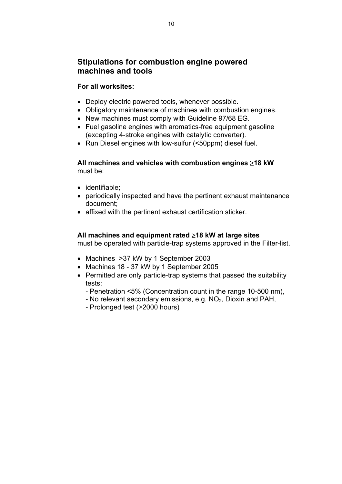### **Stipulations for combustion engine powered machines and tools**

#### **For all worksites:**

- Deploy electric powered tools, whenever possible.
- Obligatory maintenance of machines with combustion engines.
- New machines must comply with Guideline 97/68 EG.
- Fuel gasoline engines with aromatics-free equipment gasoline (excepting 4-stroke engines with catalytic converter).
- Run Diesel engines with low-sulfur (<50ppm) diesel fuel.

#### **All machines and vehicles with combustion engines** ≥**18 kW**  must be:

- identifiable;
- periodically inspected and have the pertinent exhaust maintenance document;
- affixed with the pertinent exhaust certification sticker.

#### **All machines and equipment rated** ≥**18 kW at large sites**

must be operated with particle-trap systems approved in the Filter-list.

- Machines >37 kW by 1 September 2003
- Machines 18 37 kW by 1 September 2005
- Permitted are only particle-trap systems that passed the suitability tests:
	- Penetration <5% (Concentration count in the range 10-500 nm),
	- No relevant secondary emissions, e.g.  $NO<sub>2</sub>$ , Dioxin and PAH,
	- Prolonged test (>2000 hours)